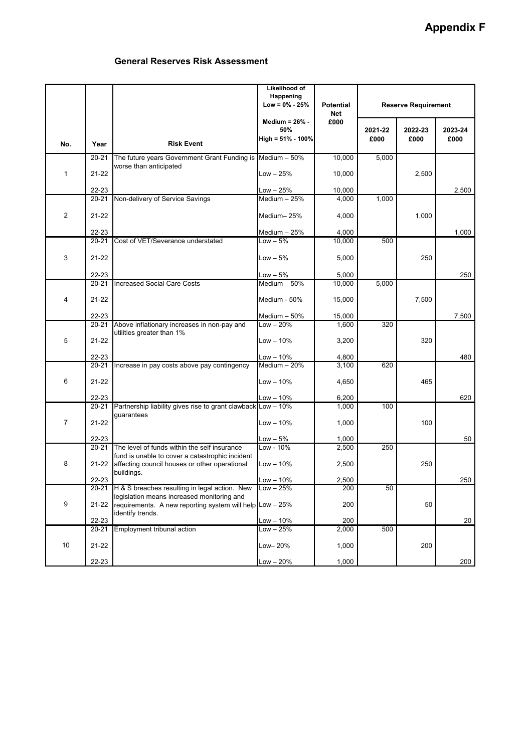## **Appendix F**

## **General Reserves Risk Assessment**

|                |           |                                                                                                 | Likelihood of<br>Happening<br>$Low = 0\% - 25\%$    | <b>Potential</b><br>Net | <b>Reserve Requirement</b> |                 |                 |
|----------------|-----------|-------------------------------------------------------------------------------------------------|-----------------------------------------------------|-------------------------|----------------------------|-----------------|-----------------|
| No.            | Year      | <b>Risk Event</b>                                                                               | Medium = $26\%$ -<br>50%<br>High = $51\%$ - $100\%$ | £000                    | 2021-22<br>£000            | 2022-23<br>£000 | 2023-24<br>£000 |
| $\mathbf{1}$   | $20 - 21$ | The future years Government Grant Funding is Medium - 50%                                       |                                                     | 10,000                  | 5,000                      |                 |                 |
|                | 21-22     | worse than anticipated                                                                          | $Low - 25%$                                         | 10,000                  |                            | 2,500           |                 |
|                | 22-23     |                                                                                                 | Low - 25%                                           | 10,000                  |                            |                 | 2,500           |
| $\overline{2}$ | 20-21     | Non-delivery of Service Savings                                                                 | Medium - 25%                                        | 4,000                   | 1,000                      |                 |                 |
|                | 21-22     |                                                                                                 | Medium-25%                                          | 4,000                   |                            | 1,000           |                 |
|                | 22-23     |                                                                                                 | Medium - 25%                                        | 4,000                   |                            |                 | 1,000           |
| 3              | $20 - 21$ | Cost of VET/Severance understated                                                               | $Low - 5%$                                          | 10,000                  | 500                        |                 |                 |
|                | 21-22     |                                                                                                 | $Low - 5%$                                          | 5,000                   |                            | 250             |                 |
|                | 22-23     |                                                                                                 | $Low - 5%$                                          | 5,000                   |                            |                 | 250             |
|                | $20 - 21$ | <b>Increased Social Care Costs</b>                                                              | Medium - 50%                                        | 10,000                  | 5,000                      |                 |                 |
| 4              | $21 - 22$ |                                                                                                 | Medium - 50%                                        | 15,000                  |                            | 7,500           |                 |
|                | 22-23     |                                                                                                 | Medium - 50%                                        | 15,000                  |                            |                 | 7,500           |
|                | 20-21     | Above inflationary increases in non-pay and                                                     | $Low - 20%$                                         | 1,600                   | 320                        |                 |                 |
| 5              | 21-22     | utilities greater than 1%                                                                       | Low - 10%                                           | 3,200                   |                            | 320             |                 |
|                | 22-23     |                                                                                                 | Low - 10%                                           | 4,800                   |                            |                 | 480             |
|                | $20 - 21$ | Increase in pay costs above pay contingency                                                     | Medium - 20%                                        | 3,100                   | 620                        |                 |                 |
| 6              | 21-22     |                                                                                                 | $Low - 10%$                                         | 4,650                   |                            | 465             |                 |
|                | 22-23     |                                                                                                 | Low – 10%                                           | 6,200                   |                            |                 | 620             |
| $\overline{7}$ | 20-21     | Partnership liability gives rise to grant clawback Low - 10%<br>guarantees                      |                                                     | 1,000                   | 100                        |                 |                 |
|                | 21-22     |                                                                                                 | Low – 10%                                           | 1,000                   |                            | 100             |                 |
|                | 22-23     |                                                                                                 | $Low - 5%$                                          | 1,000                   |                            |                 | 50              |
| 8              | 20-21     | The level of funds within the self insurance<br>fund is unable to cover a catastrophic incident | Low - 10%                                           | 2,500                   | 250                        |                 |                 |
|                | 21-22     | affecting council houses or other operational<br>buildings.                                     | $Low - 10%$                                         | 2,500                   |                            | 250             |                 |
|                | 22-23     |                                                                                                 | $Low - 10\%$                                        | 2.500                   |                            |                 | 250             |
| 9              | 20-21     | H & S breaches resulting in legal action. New<br>legislation means increased monitoring and     | $Low - 25%$                                         | 200                     | 50                         |                 |                 |
|                | 21-22     | requirements. A new reporting system will help Low - 25%<br>identify trends.                    |                                                     | 200                     |                            | 50              |                 |
|                | 22-23     |                                                                                                 | $Low - 10%$                                         | 200                     |                            |                 | 20              |
|                | 20-21     | <b>Employment tribunal action</b>                                                               | Low – 25%                                           | 2,000                   | 500                        |                 |                 |
| 10             | 21-22     |                                                                                                 | Low– 20%                                            | 1,000                   |                            | 200             |                 |
|                | $22 - 23$ |                                                                                                 | Low - 20%                                           | 1,000                   |                            |                 | 200             |